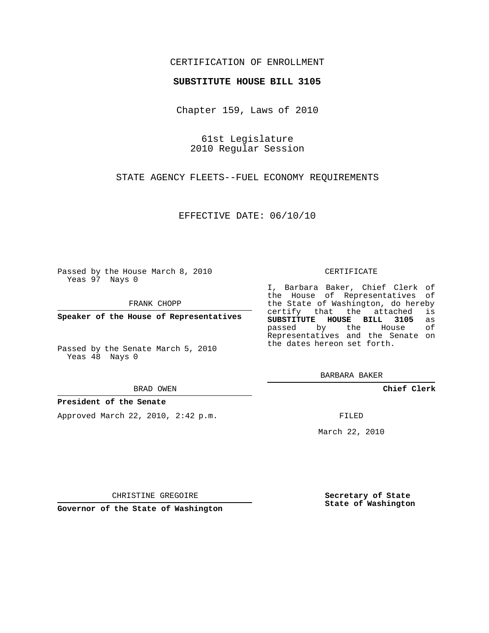# CERTIFICATION OF ENROLLMENT

## **SUBSTITUTE HOUSE BILL 3105**

Chapter 159, Laws of 2010

61st Legislature 2010 Regular Session

STATE AGENCY FLEETS--FUEL ECONOMY REQUIREMENTS

EFFECTIVE DATE: 06/10/10

Passed by the House March 8, 2010 Yeas 97 Nays 0

FRANK CHOPP

**Speaker of the House of Representatives**

Passed by the Senate March 5, 2010 Yeas 48 Nays 0

BRAD OWEN

## **President of the Senate**

Approved March 22, 2010, 2:42 p.m.

CERTIFICATE

I, Barbara Baker, Chief Clerk of the House of Representatives of the State of Washington, do hereby<br>certify that the attached is certify that the attached **SUBSTITUTE HOUSE BILL 3105** as passed by the Representatives and the Senate on the dates hereon set forth.

BARBARA BAKER

**Chief Clerk**

FILED

March 22, 2010

**Secretary of State State of Washington**

CHRISTINE GREGOIRE

**Governor of the State of Washington**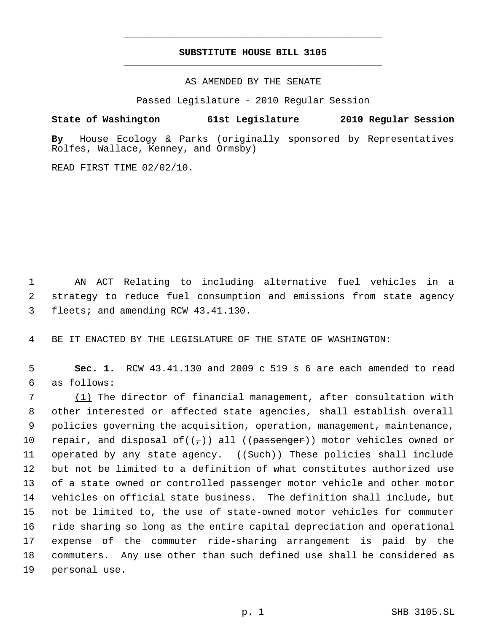# **SUBSTITUTE HOUSE BILL 3105** \_\_\_\_\_\_\_\_\_\_\_\_\_\_\_\_\_\_\_\_\_\_\_\_\_\_\_\_\_\_\_\_\_\_\_\_\_\_\_\_\_\_\_\_\_

\_\_\_\_\_\_\_\_\_\_\_\_\_\_\_\_\_\_\_\_\_\_\_\_\_\_\_\_\_\_\_\_\_\_\_\_\_\_\_\_\_\_\_\_\_

AS AMENDED BY THE SENATE

Passed Legislature - 2010 Regular Session

# **State of Washington 61st Legislature 2010 Regular Session**

**By** House Ecology & Parks (originally sponsored by Representatives Rolfes, Wallace, Kenney, and Ormsby)

READ FIRST TIME 02/02/10.

 1 AN ACT Relating to including alternative fuel vehicles in a 2 strategy to reduce fuel consumption and emissions from state agency 3 fleets; and amending RCW 43.41.130.

4 BE IT ENACTED BY THE LEGISLATURE OF THE STATE OF WASHINGTON:

 5 **Sec. 1.** RCW 43.41.130 and 2009 c 519 s 6 are each amended to read 6 as follows:

 (1) The director of financial management, after consultation with other interested or affected state agencies, shall establish overall policies governing the acquisition, operation, management, maintenance, 10 repair, and disposal of( $(\tau)$ ) all (( $\overline{p}$ assenger)) motor vehicles owned or 11 operated by any state agency. ((Such)) These policies shall include but not be limited to a definition of what constitutes authorized use of a state owned or controlled passenger motor vehicle and other motor vehicles on official state business. The definition shall include, but not be limited to, the use of state-owned motor vehicles for commuter ride sharing so long as the entire capital depreciation and operational expense of the commuter ride-sharing arrangement is paid by the commuters. Any use other than such defined use shall be considered as personal use.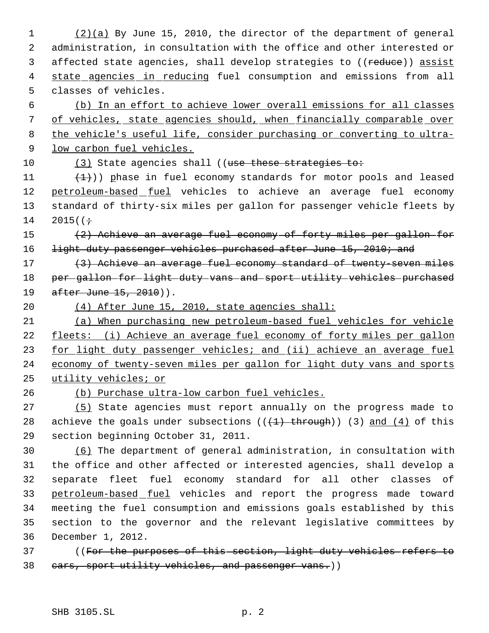(2)(a) By June 15, 2010, the director of the department of general administration, in consultation with the office and other interested or 3 affected state agencies, shall develop strategies to ((reduce)) assist 4 state agencies in reducing fuel consumption and emissions from all classes of vehicles.

 (b) In an effort to achieve lower overall emissions for all classes of vehicles, state agencies should, when financially comparable over the vehicle's useful life, consider purchasing or converting to ultra- low carbon fuel vehicles.

10 (3) State agencies shall ((use these strategies to:

11  $(1)$ ) phase in fuel economy standards for motor pools and leased 12 petroleum-based fuel vehicles to achieve an average fuel economy standard of thirty-six miles per gallon for passenger vehicle fleets by 14 2015( $(+$ 

 (2) Achieve an average fuel economy of forty miles per gallon for 16 light duty passenger vehicles purchased after June 15, 2010; and

17 (3) Achieve an average fuel economy standard of twenty-seven miles per gallon for light duty vans and sport utility vehicles purchased 19 after June 15, 2010)).

(4) After June 15, 2010, state agencies shall:

 (a) When purchasing new petroleum-based fuel vehicles for vehicle 22 fleets: (i) Achieve an average fuel economy of forty miles per gallon 23 for light duty passenger vehicles; and (ii) achieve an average fuel economy of twenty-seven miles per gallon for light duty vans and sports utility vehicles; or

(b) Purchase ultra-low carbon fuel vehicles.

 (5) State agencies must report annually on the progress made to 28 achieve the goals under subsections  $((+1)$  through)) (3) and  $(4)$  of this section beginning October 31, 2011.

 (6) The department of general administration, in consultation with the office and other affected or interested agencies, shall develop a separate fleet fuel economy standard for all other classes of 33 petroleum-based fuel vehicles and report the progress made toward meeting the fuel consumption and emissions goals established by this section to the governor and the relevant legislative committees by December 1, 2012.

 ((For the purposes of this section, light duty vehicles refers to 38 cars, sport utility vehicles, and passenger vans.))